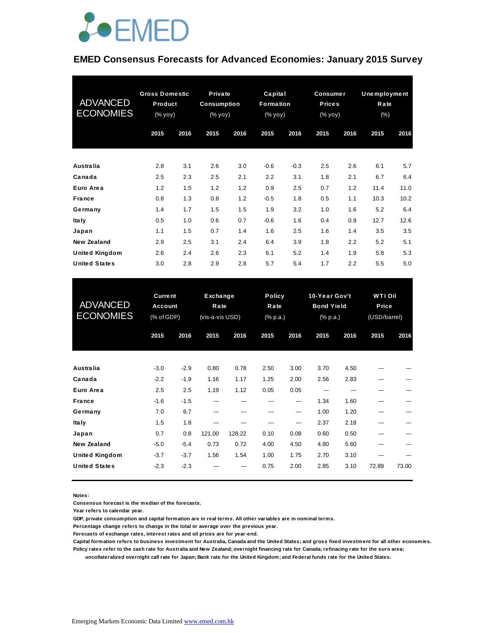

#### **EMED Consensus Forecasts for Advanced Economies: January 2015 Survey**

| <b>ADVANCED</b><br><b>ECONOMIES</b> | <b>Gross Domestic</b><br>Product<br>(% yoy) |      | Private<br>Consumption<br>$(% \mathsf{Y}^{\prime }\mathsf{Y}^{\prime }\mathsf{Y})$ (% $\mathsf{Y}^{\prime }\mathsf{Y})$ |      | Capital<br>Formation<br>(% yoy) |        | Consumer<br><b>Prices</b><br>(% yoy) |      | Unemployment<br>Rate<br>(% ) |      |
|-------------------------------------|---------------------------------------------|------|-------------------------------------------------------------------------------------------------------------------------|------|---------------------------------|--------|--------------------------------------|------|------------------------------|------|
|                                     | 2015                                        | 2016 | 2015                                                                                                                    | 2016 | 2015                            | 2016   | 2015                                 | 2016 | 2015                         | 2016 |
| <b>Australia</b>                    | 2.8                                         | 3.1  | 2.6                                                                                                                     | 3.0  | $-0.6$                          | $-0.3$ | 2.5                                  | 2.6  | 6.1                          | 5.7  |
| Canada                              | 2.5                                         | 2.3  | 2.5                                                                                                                     | 2.1  | 2.2                             | 3.1    | 1.8                                  | 2.1  | 6.7                          | 6.4  |
| Euro Area                           | 1.2                                         | 1.5  | 1.2                                                                                                                     | 1.2  | 0.9                             | 2.5    | 0.7                                  | 1.2  | 11.4                         | 11.0 |
| <b>France</b>                       | 0.8                                         | 1.3  | 0.8                                                                                                                     | 1.2  | $-0.5$                          | 1.8    | 0.5                                  | 1.1  | 10.3                         | 10.2 |
| Germany                             | 1.4                                         | 1.7  | 1.5                                                                                                                     | 1.5  | 1.9                             | 3.2    | 1.0                                  | 1.6  | 5.2                          | 6.4  |
| <b>Italy</b>                        | 0.5                                         | 1.0  | 0.6                                                                                                                     | 0.7  | $-0.6$                          | 1.6    | 0.4                                  | 0.9  | 12.7                         | 12.6 |
| Japan                               | 1.1                                         | 1.5  | 0.7                                                                                                                     | 1.4  | 1.6                             | 2.5    | 1.6                                  | 1.4  | 3.5                          | 3.5  |
| New Zealand                         | 2.9                                         | 2.5  | 3.1                                                                                                                     | 2.4  | 6.4                             | 3.9    | 1.8                                  | 2.2  | 5.2                          | 5.1  |
| <b>United Kingdom</b>               | 2.6                                         | 2.4  | 2.6                                                                                                                     | 2.3  | 6.1                             | 5.2    | 1.4                                  | 1.9  | 5.8                          | 5.3  |
| <b>United States</b>                | 3.0                                         | 2.8  | 2.9                                                                                                                     | 2.8  | 5.7                             | 5.4    | 1.7                                  | 2.2  | 5.5                          | 5.0  |

| <b>United States</b>                        | 3.0                                     | 2.8              | 2.9                                 | 2.8           | 5.7                               | 5.4          | 1.7                                            | 2.2          | 5.5                                     | 5.0        |
|---------------------------------------------|-----------------------------------------|------------------|-------------------------------------|---------------|-----------------------------------|--------------|------------------------------------------------|--------------|-----------------------------------------|------------|
| <b>ADVANCED</b><br><b>ECONOMIES</b>         | <b>Current</b><br>Account<br>(% of GDP) |                  | Exchange<br>Rate<br>(vis-a-vis USD) |               | <b>Policy</b><br>Rate<br>(% p.a.) |              | 10-Year Gov't<br><b>Bond Yield</b><br>(% p.a.) |              | <b>WTI Oil</b><br>Price<br>(USD/barrel) |            |
|                                             | 2015                                    | 2016             | 2015                                | 2016          | 2015                              | 2016         | 2015                                           | 2016         | 2015                                    | 2016       |
| <b>Australia</b>                            | $-3.0$                                  | $-2.9$           | 0.80                                | 0.78          | 2.50                              | 3.00         | 3.70                                           | 4.50         | ---                                     |            |
| Canada<br>Euro Area                         | $-2.2$<br>2.5                           | $-1.9$<br>2.5    | 1.16<br>1.19                        | 1.17<br>1.12  | 1.25<br>0.05                      | 2.00<br>0.05 | 2.56<br>---                                    | 2.83<br>---  | ---<br>---                              | ---        |
| <b>France</b><br>Germany                    | $-1.6$<br>7.0                           | $-1.5$<br>6.7    | ---<br>---                          | ---<br>---    | ---<br>---                        | ---<br>---   | 1.34<br>1.00                                   | 1.60<br>1.20 | ---<br>---                              | ---        |
| <b>Italy</b><br>Japan                       | 1.5<br>0.7                              | 1.8<br>0.8       | ---<br>121.00                       | ---<br>128.22 | ---<br>0.10                       | ---<br>0.08  | 2.37<br>0.60                                   | 2.18<br>0.50 | ---<br>---                              | ---<br>--- |
| <b>New Zealand</b><br><b>United Kingdom</b> | $-5.0$<br>$-3.7$                        | $-5.4$<br>$-3.7$ | 0.73<br>1.56                        | 0.72<br>1.54  | 4.00<br>1.00                      | 4.50<br>1.75 | 4.80<br>2.70                                   | 5.60<br>3.10 | ---<br>---                              | ---        |
| <b>United States</b>                        | $-2.3$                                  | $-2.3$           |                                     | ---           | 0.75                              | 2.00         | 2.85                                           | 3.10         | 72.89                                   | 73.00      |

**Notes:** 

**Consensus forecast is the median of the forecasts.**

**Year refers to calendar year.**

**GDP, private consumption and capital formation are in real terms. All other variables are in nominal terms.**

**Percentage change refers to change in the total or average over the previous year.**

**Forecasts of exchange rates, interest rates and oil prices are for year-end.**

**Capital formation refers to business investment for Australia, Canada and the United States; and gross fixed investment for all other economies. Policy rates refer to the cash rate for Australia and New Zealand; overnight financing rate for Canada; refinacing rate for the euro area;** 

 **uncollateralized overnight call rate for Japan; Bank rate for the United Kingdom; and Federal funds rate for the United States.**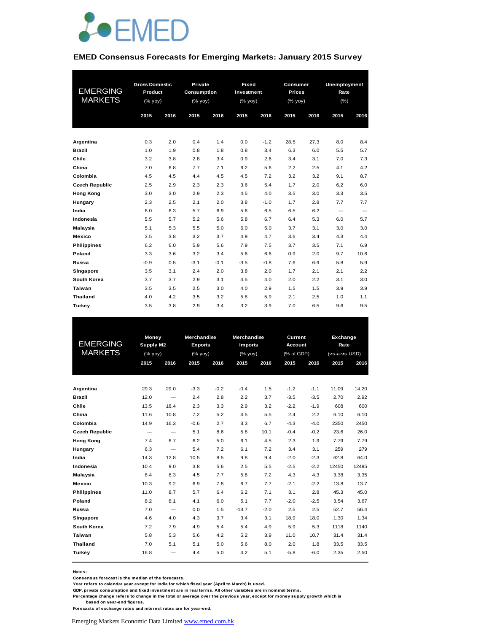

#### **EMED Consensus Forecasts for Emerging Markets: January 2015 Survey**

|                       | <b>Gross Domestic</b> |      | Private     |        | Fixed                                                              |        | Consumer      |      |                                                                                                      |      |  |  |
|-----------------------|-----------------------|------|-------------|--------|--------------------------------------------------------------------|--------|---------------|------|------------------------------------------------------------------------------------------------------|------|--|--|
| <b>EMERGING</b>       | Product               |      | Consumption |        | Investment                                                         |        | <b>Prices</b> |      | Unemployment<br>Rate<br>(% )<br>2016<br>2015<br>8.0<br>8.4<br>5.5<br>5.7<br>7.3<br>7.0<br>4.2<br>4.1 |      |  |  |
| <b>MARKETS</b>        | (% yoy)               |      | (% yoy)     |        | $(% \mathsf{Y}^{\prime }\mathsf{Y}^{\prime }\mathsf{Y}^{\prime })$ |        | (% yoy)       |      |                                                                                                      |      |  |  |
|                       |                       |      |             |        |                                                                    |        |               |      |                                                                                                      |      |  |  |
|                       | 2015                  | 2016 | 2015        | 2016   | 2015                                                               | 2016   | 2015          | 2016 |                                                                                                      |      |  |  |
|                       |                       |      |             |        |                                                                    |        |               |      |                                                                                                      |      |  |  |
| Argentina             | 0.3                   | 2.0  | 0.4         | 1.4    | 0.0                                                                | $-1.2$ | 28.5          | 27.3 |                                                                                                      |      |  |  |
| <b>Brazil</b>         | 1.0                   | 1.9  | 0.8         | 1.8    | 0.8                                                                | 3.4    | 6.3           | 6.0  |                                                                                                      |      |  |  |
| Chile                 | 3.2                   | 3.8  | 2.8         | 3.4    | 0.9                                                                | 2.6    | 3.4           | 3.1  |                                                                                                      |      |  |  |
| China                 | 7.0                   | 6.8  | 7.7         | 7.1    | 6.2                                                                | 5.6    | 2.2           | 2.5  |                                                                                                      |      |  |  |
|                       |                       |      |             |        |                                                                    |        |               |      |                                                                                                      |      |  |  |
| Colombia              | 4.5                   | 4.5  | 4.4         | 4.5    | 4.5                                                                | 7.2    | 3.2           | 3.2  | 9.1                                                                                                  | 8.7  |  |  |
| <b>Czech Republic</b> | 2.5                   | 2.9  | 2.3         | 2.3    | 3.6                                                                | 5.4    | 1.7           | 2.0  | 6.2                                                                                                  | 6.0  |  |  |
| <b>Hong Kong</b>      | 3.0                   | 3.0  | 2.9         | 2.3    | 4.5                                                                | 4.0    | 3.5           | 3.0  | 3.3                                                                                                  | 3.5  |  |  |
| Hungary               | 2.3                   | 2.5  | 2.1         | 2.0    | 3.8                                                                | $-1.0$ | 1.7           | 2.8  | 7.7                                                                                                  | 7.7  |  |  |
| India                 | 6.0                   | 6.3  | 5.7         | 6.9    | 5.6                                                                | 6.5    | 6.5           | 6.2  | ---                                                                                                  | ---  |  |  |
| Indonesia             | 5.5                   | 5.7  | 5.2         | 5.6    | 5.8                                                                | 6.7    | 6.4           | 5.3  | 6.0                                                                                                  | 5.7  |  |  |
| Malaysia              | 5.1                   | 5.3  | 5.5         | 5.0    | 6.0                                                                | 5.0    | 3.7           | 3.1  | 3.0                                                                                                  | 3.0  |  |  |
| <b>Mexico</b>         | 3.5                   | 3.8  | 3.2         | 3.7    | 4.9                                                                | 4.7    | 3.6           | 3.4  | 4.3                                                                                                  | 4.4  |  |  |
| <b>Philippines</b>    | 6.2                   | 6.0  | 5.9         | 5.6    | 7.9                                                                | 7.5    | 3.7           | 3.5  | 7.1                                                                                                  | 6.9  |  |  |
| Poland                | 3.3                   | 3.6  | 3.2         | 3.4    | 5.6                                                                | 6.6    | 0.9           | 2.0  | 9.7                                                                                                  | 10.6 |  |  |
| Russia                | $-0.9$                | 0.5  | $-3.1$      | $-0.1$ | $-3.5$                                                             | $-0.8$ | 7.6           | 6.9  | 5.8                                                                                                  | 5.9  |  |  |
| Singapore             | 3.5                   | 3.1  | 2.4         | 2.0    | 3.8                                                                | 2.0    | 1.7           | 2.1  | 2.1                                                                                                  | 2.2  |  |  |
| South Korea           | 3.7                   | 3.7  | 2.9         | 3.1    | 4.5                                                                | 4.0    | 2.0           | 2.2  | 3.1                                                                                                  | 3.0  |  |  |
| Taiwan                | 3.5                   | 3.5  | 2.5         | 3.0    | 4.0                                                                | 2.9    | 1.5           | 1.5  | 3.9                                                                                                  | 3.9  |  |  |
| <b>Thailand</b>       | 4.0                   | 4.2  | 3.5         | 3.2    | 5.8                                                                | 5.9    | 2.1           | 2.5  | 1.0                                                                                                  | 1.1  |  |  |
| <b>Turkey</b>         | 3.5                   | 3.8  | 2.9         | 3.4    | 3.2                                                                | 3.9    | 7.0           | 6.5  | 9.6                                                                                                  | 9.5  |  |  |

| <b>EMERGING</b><br><b>MARKETS</b> | <b>Money</b><br>Supply M2<br>(% yoy)<br>2015<br>2016 |                          | 2015   | <b>Merchandise</b><br><b>Exports</b><br>(% yoy)<br>2016 |         | <b>Merchandise</b><br><b>Imports</b><br>(% yoy)<br>2015<br>2016 |        | Current<br><b>Account</b><br>(% of GDP)<br>2015<br>2016 |       | Exchange<br>Rate<br>(vis-a-vis USD)<br>2015<br>2016 |  |
|-----------------------------------|------------------------------------------------------|--------------------------|--------|---------------------------------------------------------|---------|-----------------------------------------------------------------|--------|---------------------------------------------------------|-------|-----------------------------------------------------|--|
|                                   |                                                      |                          |        |                                                         |         |                                                                 |        |                                                         |       |                                                     |  |
|                                   |                                                      |                          |        |                                                         |         |                                                                 |        |                                                         |       |                                                     |  |
| Argentina                         | 29.3                                                 | 29.0                     | $-3.3$ | $-0.2$                                                  | $-0.4$  | 1.5                                                             | $-1.2$ | $-1.1$                                                  | 11.09 | 14.20                                               |  |
| <b>Brazil</b>                     | 12.0                                                 | ---                      | 2.4    | 2.8                                                     | 2.2     | 3.7                                                             | $-3.5$ | $-3.5$                                                  | 2.70  | 2.92                                                |  |
| Chile                             | 13.5                                                 | 18.4                     | 2.3    | 3.3                                                     | 2.9     | 3.2                                                             | $-2.2$ | $-1.9$                                                  | 608   | 600                                                 |  |
| China                             | 11.6                                                 | 10.8                     | 7.2    | 5.2                                                     | 4.5     | 5.5                                                             | 2.4    | 2.2                                                     | 6.10  | 6.10                                                |  |
| Colombia                          | 14.9                                                 | 16.3                     | $-0.6$ | 2.7                                                     | 3.3     | 6.7                                                             | $-4.3$ | $-4.0$                                                  | 2350  | 2450                                                |  |
| <b>Czech Republic</b>             | ---                                                  | $\hspace{0.05cm} \ldots$ | 5.1    | 8.6                                                     | 5.8     | 10.1                                                            | $-0.4$ | $-0.2$                                                  | 23.6  | 26.0                                                |  |
| <b>Hong Kong</b>                  | 7.4                                                  | 6.7                      | 6.2    | 5.0                                                     | 6.1     | 4.5                                                             | 2.3    | 1.9                                                     | 7.79  | 7.79                                                |  |
| Hungary                           | 6.3                                                  | ---                      | 5.4    | 7.2                                                     | 6.1     | 7.2                                                             | 3.4    | 3.1                                                     | 259   | 279                                                 |  |
| India                             | 14.3                                                 | 12.8                     | 10.5   | 8.5                                                     | 9.8     | 9.4                                                             | $-2.0$ | $-2.3$                                                  | 62.8  | 64.0                                                |  |
| Indonesia                         | 10.4                                                 | 9.0                      | 3.8    | 5.6                                                     | 2.5     | 5.5                                                             | $-2.5$ | $-2.2$                                                  | 12450 | 12495                                               |  |
| Malaysia                          | 8.4                                                  | 8.3                      | 4.5    | 7.7                                                     | 5.8     | 7.2                                                             | 4.3    | 4.3                                                     | 3.38  | 3.35                                                |  |
| Mexico                            | 10.3                                                 | 9.2                      | 6.9    | 7.8                                                     | 6.7     | 7.7                                                             | $-2.1$ | $-2.2$                                                  | 13.8  | 13.7                                                |  |
| <b>Philippines</b>                | 11.0                                                 | 8.7                      | 5.7    | 6.4                                                     | 6.2     | 7.1                                                             | 3.1    | 2.8                                                     | 45.3  | 45.0                                                |  |
| Poland                            | 8.2                                                  | 8.1                      | 4.1    | 6.0                                                     | 5.1     | 7.7                                                             | $-2.0$ | $-2.5$                                                  | 3.54  | 3.67                                                |  |
| Russia                            | 7.0                                                  | $\hspace{0.05cm} \cdots$ | 0.0    | 1.5                                                     | $-13.7$ | $-2.0$                                                          | 2.5    | 2.5                                                     | 52.7  | 56.4                                                |  |
| Singapore                         | 4.6                                                  | 4.0                      | 4.3    | 3.7                                                     | 3.4     | 3.1                                                             | 18.9   | 18.0                                                    | 1.30  | 1.34                                                |  |
| South Korea                       | 7.2                                                  | 7.9                      | 4.9    | 5.4                                                     | 5.4     | 4.9                                                             | 5.9    | 5.3                                                     | 1118  | 1140                                                |  |
| Taiwan                            | 5.8                                                  | 5.3                      | 5.6    | 4.2                                                     | 5.2     | 3.9                                                             | 11.0   | 10.7                                                    | 31.4  | 31.4                                                |  |
| <b>Thailand</b>                   | 7.0                                                  | 5.1                      | 5.1    | 5.0                                                     | 5.6     | 8.0                                                             | 2.0    | 1.8                                                     | 33.5  | 33.5                                                |  |
| Turkey                            | 16.8                                                 | ---                      | 4.4    | 5.0                                                     | 4.2     | 5.1                                                             | $-5.8$ | $-6.0$                                                  | 2.35  | 2.50                                                |  |

**Notes:** 

**Consensus forecast is the median of the forecasts.**

**Year refers to calendar year except for India for which fiscal year (April to March) is used.**

**GDP, private consumption and fixed investment are in real terms. All other variables are in nominal terms.**

**Percentage change refers to change in the total or average over the previous year, except for money supply growth which is based on year-end figures.**

**Forecasts of exchange rates and interest rates are for year-end.**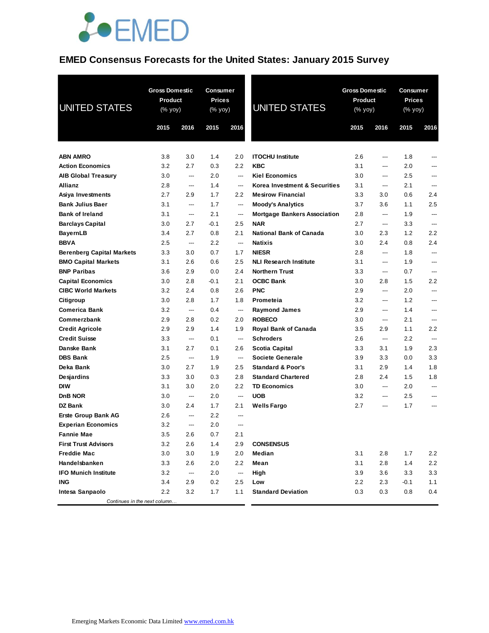

### **EMED Consensus Forecasts for the United States: January 2015 Survey**

| <b>UNITED STATES</b>             | <b>Gross Domestic</b><br>Product<br>(% yoy)<br>2015 | 2016 | Consumer<br><b>Prices</b><br>(% yoy)<br>2015 | 2016                     | <b>UNITED STATES</b>                | 2015 | <b>Gross Domestic</b><br>Product<br>(% yoy)<br>2016 |        | Consumer<br><b>Prices</b><br>(% yoy)<br>2015<br>2016 |  |
|----------------------------------|-----------------------------------------------------|------|----------------------------------------------|--------------------------|-------------------------------------|------|-----------------------------------------------------|--------|------------------------------------------------------|--|
|                                  |                                                     |      |                                              |                          |                                     |      |                                                     |        |                                                      |  |
| <b>ABN AMRO</b>                  | 3.8                                                 | 3.0  | 1.4                                          | 2.0                      | <b>ITOCHU Institute</b>             | 2.6  | ---                                                 | 1.8    |                                                      |  |
| <b>Action Economics</b>          | 3.2                                                 | 2.7  | 0.3                                          | 2.2                      | <b>KBC</b>                          | 3.1  | ---                                                 | 2.0    | ---                                                  |  |
| <b>AIB Global Treasury</b>       | 3.0                                                 | ---  | 2.0                                          | ---                      | <b>Kiel Economics</b>               | 3.0  | ---                                                 | 2.5    | ---                                                  |  |
| Allianz                          | 2.8                                                 | ---  | 1.4                                          | ---                      | Korea Investment & Securities       | 3.1  | ---                                                 | 2.1    | ---                                                  |  |
| Asiya Investments                | 2.7                                                 | 2.9  | 1.7                                          | 2.2                      | <b>Mesirow Financial</b>            | 3.3  | 3.0                                                 | 0.6    | 2.4                                                  |  |
| <b>Bank Julius Baer</b>          | 3.1                                                 | ---  | 1.7                                          | ---                      | <b>Moody's Analytics</b>            | 3.7  | 3.6                                                 | 1.1    | 2.5                                                  |  |
| <b>Bank of Ireland</b>           | 3.1                                                 | ---  | 2.1                                          | ---                      | <b>Mortgage Bankers Association</b> | 2.8  | ---                                                 | 1.9    | ---                                                  |  |
| <b>Barclays Capital</b>          | 3.0                                                 | 2.7  | $-0.1$                                       | 2.5                      | <b>NAR</b>                          | 2.7  | ---                                                 | 3.3    | ---                                                  |  |
| <b>BayernLB</b>                  | 3.4                                                 | 2.7  | 0.8                                          | 2.1                      | <b>National Bank of Canada</b>      | 3.0  | 2.3                                                 | 1.2    | $2.2\,$                                              |  |
| <b>BBVA</b>                      | 2.5                                                 | ---  | 2.2                                          | ---                      | <b>Natixis</b>                      | 3.0  | 2.4                                                 | 0.8    | 2.4                                                  |  |
| <b>Berenberg Capital Markets</b> | 3.3                                                 | 3.0  | 0.7                                          | 1.7                      | <b>NIESR</b>                        | 2.8  | ---                                                 | 1.8    | ---                                                  |  |
| <b>BMO Capital Markets</b>       | 3.1                                                 | 2.6  | 0.6                                          | 2.5                      | <b>NLI Research Institute</b>       | 3.1  | ---                                                 | 1.9    |                                                      |  |
| <b>BNP Paribas</b>               | 3.6                                                 | 2.9  | 0.0                                          | 2.4                      | <b>Northern Trust</b>               | 3.3  | ---                                                 | 0.7    | ---                                                  |  |
| <b>Capital Economics</b>         | 3.0                                                 | 2.8  | $-0.1$                                       | 2.1                      | <b>OCBC Bank</b>                    | 3.0  | 2.8                                                 | 1.5    | $2.2\,$                                              |  |
| <b>CIBC World Markets</b>        | 3.2                                                 | 2.4  | 0.8                                          | 2.6                      | <b>PNC</b>                          | 2.9  | ---                                                 | 2.0    | ---                                                  |  |
| Citigroup                        | 3.0                                                 | 2.8  | 1.7                                          | 1.8                      | Prometeia                           | 3.2  | ---                                                 | 1.2    | ---                                                  |  |
| <b>Comerica Bank</b>             | 3.2                                                 | ---  | 0.4                                          | ---                      | <b>Raymond James</b>                | 2.9  | ---                                                 | 1.4    |                                                      |  |
| Commerzbank                      | 2.9                                                 | 2.8  | 0.2                                          | 2.0                      | <b>ROBECO</b>                       | 3.0  | ---                                                 | 2.1    | ---                                                  |  |
| <b>Credit Agricole</b>           | 2.9                                                 | 2.9  | 1.4                                          | 1.9                      | <b>Royal Bank of Canada</b>         | 3.5  | 2.9                                                 | 1.1    | $2.2\,$                                              |  |
| <b>Credit Suisse</b>             | 3.3                                                 | ---  | 0.1                                          | ---                      | <b>Schroders</b>                    | 2.6  | ---                                                 | 2.2    | $\hspace{0.05cm} \ldots$                             |  |
| Danske Bank                      | 3.1                                                 | 2.7  | 0.1                                          | 2.6                      | <b>Scotia Capital</b>               | 3.3  | 3.1                                                 | 1.9    | 2.3                                                  |  |
| <b>DBS Bank</b>                  | 2.5                                                 | ---  | 1.9                                          | ---                      | Societe Generale                    | 3.9  | 3.3                                                 | 0.0    | 3.3                                                  |  |
| Deka Bank                        | 3.0                                                 | 2.7  | 1.9                                          | 2.5                      | <b>Standard &amp; Poor's</b>        | 3.1  | 2.9                                                 | 1.4    | 1.8                                                  |  |
| Desjardins                       | 3.3                                                 | 3.0  | 0.3                                          | 2.8                      | <b>Standard Chartered</b>           | 2.8  | 2.4                                                 | 1.5    | 1.8                                                  |  |
| <b>DIW</b>                       | 3.1                                                 | 3.0  | 2.0                                          | 2.2                      | <b>TD Economics</b>                 | 3.0  | ---                                                 | 2.0    | ---                                                  |  |
| D <sub>n</sub> B NOR             | 3.0                                                 | ---  | 2.0                                          | ---                      | <b>UOB</b>                          | 3.2  | ---                                                 | 2.5    |                                                      |  |
| <b>DZ Bank</b>                   | 3.0                                                 | 2.4  | 1.7                                          | 2.1                      | <b>Wells Fargo</b>                  | 2.7  | ---                                                 | 1.7    | ---                                                  |  |
| Erste Group Bank AG              | 2.6                                                 | ---  | 2.2                                          | ---                      |                                     |      |                                                     |        |                                                      |  |
| <b>Experian Economics</b>        | 3.2                                                 | ---  | 2.0                                          | ---                      |                                     |      |                                                     |        |                                                      |  |
| <b>Fannie Mae</b>                | 3.5                                                 | 2.6  | 0.7                                          | 2.1                      |                                     |      |                                                     |        |                                                      |  |
| <b>First Trust Advisors</b>      | 3.2                                                 | 2.6  | 1.4                                          | 2.9                      | <b>CONSENSUS</b>                    |      |                                                     |        |                                                      |  |
| <b>Freddie Mac</b>               | 3.0                                                 | 3.0  | 1.9                                          | 2.0                      | Median                              | 3.1  | 2.8                                                 | 1.7    | 2.2                                                  |  |
| Handelsbanken                    | 3.3                                                 | 2.6  | 2.0                                          | 2.2                      | Mean                                | 3.1  | 2.8                                                 | 1.4    | 2.2                                                  |  |
| <b>IFO Munich Institute</b>      | 3.2                                                 | ---  | 2.0                                          | $\hspace{0.05cm} \cdots$ | High                                | 3.9  | 3.6                                                 | 3.3    | 3.3                                                  |  |
| <b>ING</b>                       | 3.4                                                 | 2.9  | 0.2                                          | 2.5                      | Low                                 | 2.2  | 2.3                                                 | $-0.1$ | 1.1                                                  |  |
| Intesa Sanpaolo                  | 2.2                                                 | 3.2  | 1.7                                          | 1.1                      | <b>Standard Deviation</b>           | 0.3  | 0.3                                                 | 0.8    | 0.4                                                  |  |
| Continues in the next column     |                                                     |      |                                              |                          |                                     |      |                                                     |        |                                                      |  |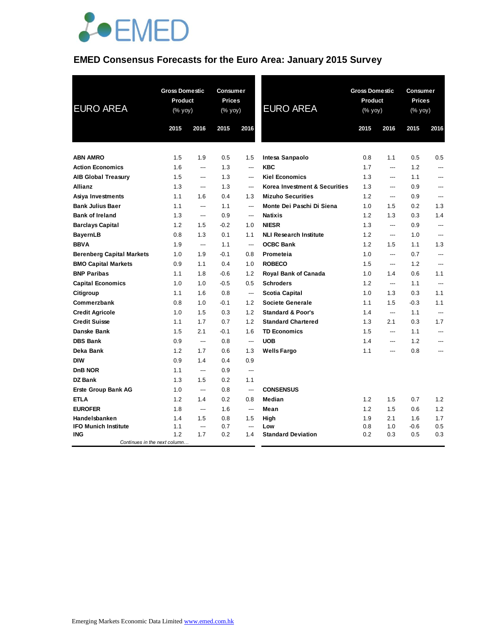

# **EMED Consensus Forecasts for the Euro Area: January 2015 Survey**

| <b>EURO AREA</b>                           | <b>Gross Domestic</b><br>Product<br>$(\%$ yoy) |      | Consumer<br><b>Prices</b><br>(% yoy) |      | <b>EURO AREA</b>              | <b>Gross Domestic</b><br>Product<br>(% yoy) |                | Consumer<br><b>Prices</b><br>(% yoy) |                |
|--------------------------------------------|------------------------------------------------|------|--------------------------------------|------|-------------------------------|---------------------------------------------|----------------|--------------------------------------|----------------|
|                                            | 2015                                           | 2016 | 2015                                 | 2016 |                               | 2015                                        | 2016           | 2015                                 | 2016           |
| <b>ABN AMRO</b>                            | 1.5                                            | 1.9  | 0.5                                  | 1.5  | Intesa Sanpaolo               | 0.8                                         | 1.1            | 0.5                                  | 0.5            |
| <b>Action Economics</b>                    | 1.6                                            | ---  | 1.3                                  | ---  | <b>KBC</b>                    | 1.7                                         | ---            | 1.2                                  | ---            |
| <b>AIB Global Treasury</b>                 | 1.5                                            | ---  | 1.3                                  | ---  | <b>Kiel Economics</b>         | 1.3                                         | ---            | 1.1                                  | ---            |
| <b>Allianz</b>                             | 1.3                                            | ---  | 1.3                                  | ---  | Korea Investment & Securities | 1.3                                         | ---            | 0.9                                  | ---            |
| Asiya Investments                          | 1.1                                            | 1.6  | 0.4                                  | 1.3  | <b>Mizuho Securities</b>      | 1.2                                         | ---            | 0.9                                  | ---            |
| <b>Bank Julius Baer</b>                    | 1.1                                            | ---  | 1.1                                  | ---  | Monte Dei Paschi Di Siena     | 1.0                                         | 1.5            | 0.2                                  | 1.3            |
| <b>Bank of Ireland</b>                     | 1.3                                            | ---  | 0.9                                  | ---  | <b>Natixis</b>                | 1.2                                         | 1.3            | 0.3                                  | 1.4            |
| <b>Barclays Capital</b>                    | 1.2                                            | 1.5  | $-0.2$                               | 1.0  | <b>NIESR</b>                  | 1.3                                         | ---            | 0.9                                  | $\overline{a}$ |
| <b>BayernLB</b>                            | 0.8                                            | 1.3  | 0.1                                  | 1.1  | <b>NLI Research Institute</b> | 1.2                                         | $\overline{a}$ | 1.0                                  | ---            |
| <b>BBVA</b>                                | 1.9                                            | ---  | 1.1                                  | ---  | <b>OCBC Bank</b>              | 1.2                                         | 1.5            | 1.1                                  | 1.3            |
| <b>Berenberg Capital Markets</b>           | 1.0                                            | 1.9  | $-0.1$                               | 0.8  | Prometeia                     | 1.0                                         | $\overline{a}$ | 0.7                                  | ---            |
| <b>BMO Capital Markets</b>                 | 0.9                                            | 1.1  | 0.4                                  | 1.0  | <b>ROBECO</b>                 | 1.5                                         | ---            | 1.2                                  | ---            |
| <b>BNP Paribas</b>                         | 1.1                                            | 1.8  | $-0.6$                               | 1.2  | Royal Bank of Canada          | 1.0                                         | 1.4            | 0.6                                  | 1.1            |
| <b>Capital Economics</b>                   | 1.0                                            | 1.0  | $-0.5$                               | 0.5  | <b>Schroders</b>              | 1.2                                         | ---            | 1.1                                  | ---            |
| Citigroup                                  | 1.1                                            | 1.6  | 0.8                                  | ---  | Scotia Capital                | 1.0                                         | 1.3            | 0.3                                  | 1.1            |
| Commerzbank                                | 0.8                                            | 1.0  | $-0.1$                               | 1.2  | Societe Generale              | 1.1                                         | 1.5            | $-0.3$                               | 1.1            |
| <b>Credit Agricole</b>                     | 1.0                                            | 1.5  | 0.3                                  | 1.2  | <b>Standard &amp; Poor's</b>  | 1.4                                         | ---            | 1.1                                  | ---            |
| <b>Credit Suisse</b>                       | 1.1                                            | 1.7  | 0.7                                  | 1.2  | <b>Standard Chartered</b>     | 1.3                                         | 2.1            | 0.3                                  | 1.7            |
| Danske Bank                                | 1.5                                            | 2.1  | $-0.1$                               | 1.6  | <b>TD Economics</b>           | 1.5                                         | $\overline{a}$ | 1.1                                  | ---            |
| <b>DBS Bank</b>                            | 0.9                                            | ---  | 0.8                                  | ---  | <b>UOB</b>                    | 1.4                                         | ---            | 1.2                                  | ---            |
| Deka Bank                                  | 1.2                                            | 1.7  | 0.6                                  | 1.3  | <b>Wells Fargo</b>            | 1.1                                         | ---            | 0.8                                  | ---            |
| <b>DIW</b>                                 | 0.9                                            | 1.4  | 0.4                                  | 0.9  |                               |                                             |                |                                      |                |
| D <sub>n</sub> B NOR                       | 1.1                                            | ---  | 0.9                                  | ---  |                               |                                             |                |                                      |                |
| <b>DZ Bank</b>                             | 1.3                                            | 1.5  | 0.2                                  | 1.1  |                               |                                             |                |                                      |                |
| <b>Erste Group Bank AG</b>                 | 1.0                                            | ---  | 0.8                                  | ---  | <b>CONSENSUS</b>              |                                             |                |                                      |                |
| ETLA                                       | 1.2                                            | 1.4  | 0.2                                  | 0.8  | Median                        | 1.2                                         | 1.5            | 0.7                                  | 1.2            |
| <b>EUROFER</b>                             | 1.8                                            | ---  | 1.6                                  | ---  | Mean                          | 1.2                                         | 1.5            | 0.6                                  | 1.2            |
| Handelsbanken                              | 1.4                                            | 1.5  | 0.8                                  | 1.5  | High                          | 1.9                                         | 2.1            | 1.6                                  | 1.7            |
| <b>IFO Munich Institute</b>                | 1.1                                            | ---  | 0.7                                  | ---  | Low                           | 0.8                                         | 1.0            | -0.6                                 | 0.5            |
| <b>ING</b><br>Continues in the next column | 1.2                                            | 1.7  | 0.2                                  | 1.4  | <b>Standard Deviation</b>     | 0.2                                         | 0.3            | 0.5                                  | 0.3            |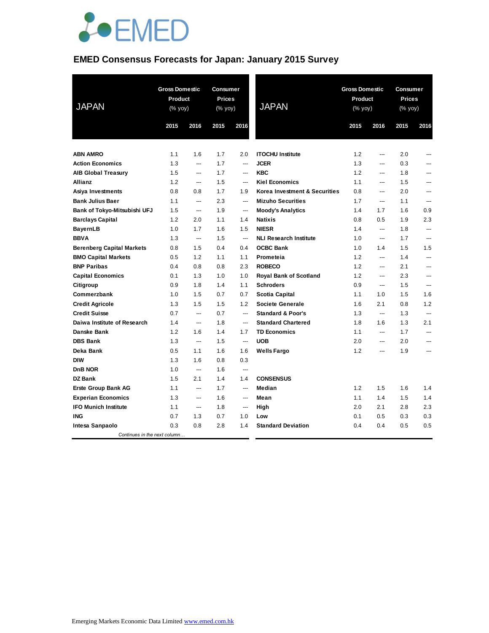

### **EMED Consensus Forecasts for Japan: January 2015 Survey**

| <b>JAPAN</b>                     | <b>Gross Domestic</b><br>Product<br>(% yoy) |                          | <b>Consumer</b><br><b>Prices</b><br>(% yoy) |                | <b>JAPAN</b>                  | <b>Gross Domestic</b><br>Product<br>(% yoy) |                          | <b>Consumer</b><br>Prices<br>(% yoy) |                          |
|----------------------------------|---------------------------------------------|--------------------------|---------------------------------------------|----------------|-------------------------------|---------------------------------------------|--------------------------|--------------------------------------|--------------------------|
|                                  | 2015                                        | 2016                     | 2015                                        | 2016           |                               | 2015                                        | 2016                     | 2015                                 | 2016                     |
| <b>ABN AMRO</b>                  | 1.1                                         | 1.6                      | 1.7                                         | 2.0            | <b>ITOCHU Institute</b>       | 1.2                                         | ---                      | 2.0                                  | ---                      |
| <b>Action Economics</b>          | 1.3                                         | ---                      | 1.7                                         | ---            | <b>JCER</b>                   | 1.3                                         | ---                      | 0.3                                  | ---                      |
| <b>AIB Global Treasury</b>       | 1.5                                         | $\overline{a}$           | 1.7                                         | $---$          | <b>KBC</b>                    | 1.2                                         | $---$                    | 1.8                                  | ---                      |
| Allianz                          | 1.2                                         | ---                      | 1.5                                         | ---            | <b>Kiel Economics</b>         | 1.1                                         | $\overline{a}$           | 1.5                                  | ---                      |
| Asiya Investments                | 0.8                                         | 0.8                      | 1.7                                         | 1.9            | Korea Investment & Securities | 0.8                                         | $\overline{a}$           | 2.0                                  | ---                      |
| <b>Bank Julius Baer</b>          | 1.1                                         | $---$                    | 2.3                                         | ---            | <b>Mizuho Securities</b>      | 1.7                                         | $\overline{a}$           | 1.1                                  | ---                      |
| Bank of Tokyo-Mitsubishi UFJ     | 1.5                                         | $\overline{a}$           | 1.9                                         | ---            | <b>Moody's Analytics</b>      | 1.4                                         | 1.7                      | 1.6                                  | 0.9                      |
| <b>Barclays Capital</b>          | 1.2                                         | 2.0                      | 1.1                                         | 1.4            | <b>Natixis</b>                | 0.8                                         | 0.5                      | 1.9                                  | 2.3                      |
| <b>BayernLB</b>                  | 1.0                                         | 1.7                      | 1.6                                         | 1.5            | <b>NIESR</b>                  | 1.4                                         | $\overline{a}$           | 1.8                                  | $\overline{\phantom{a}}$ |
| <b>BBVA</b>                      | 1.3                                         | $\hspace{0.05cm} \ldots$ | 1.5                                         | ---            | <b>NLI Research Institute</b> | 1.0                                         | $\overline{a}$           | 1.7                                  | ---                      |
| <b>Berenberg Capital Markets</b> | 0.8                                         | 1.5                      | 0.4                                         | 0.4            | <b>OCBC Bank</b>              | 1.0                                         | 1.4                      | 1.5                                  | 1.5                      |
| <b>BMO Capital Markets</b>       | 0.5                                         | 1.2                      | 1.1                                         | 1.1            | Prometeia                     | 1.2                                         | $---$                    | 1.4                                  | $\overline{\phantom{a}}$ |
| <b>BNP Paribas</b>               | 0.4                                         | 0.8                      | 0.8                                         | 2.3            | <b>ROBECO</b>                 | 1.2                                         | $\overline{a}$           | 2.1                                  | ---                      |
| <b>Capital Economics</b>         | 0.1                                         | 1.3                      | 1.0                                         | 1.0            | <b>Royal Bank of Scotland</b> | 1.2                                         | $\overline{a}$           | 2.3                                  | ---                      |
| Citigroup                        | 0.9                                         | 1.8                      | 1.4                                         | 1.1            | <b>Schroders</b>              | 0.9                                         | $---$                    | 1.5                                  | $---$                    |
| Commerzbank                      | 1.0                                         | 1.5                      | 0.7                                         | 0.7            | <b>Scotia Capital</b>         | 1.1                                         | 1.0                      | 1.5                                  | 1.6                      |
| <b>Credit Agricole</b>           | 1.3                                         | 1.5                      | 1.5                                         | 1.2            | Societe Generale              | 1.6                                         | 2.1                      | 0.8                                  | 1.2                      |
| <b>Credit Suisse</b>             | 0.7                                         | $\overline{\phantom{a}}$ | 0.7                                         | $\overline{a}$ | <b>Standard &amp; Poor's</b>  | 1.3                                         | $\overline{\phantom{a}}$ | 1.3                                  | $\overline{\phantom{a}}$ |
| Daiwa Institute of Research      | 1.4                                         | $\overline{a}$           | 1.8                                         | ---            | <b>Standard Chartered</b>     | 1.8                                         | 1.6                      | 1.3                                  | 2.1                      |
| Danske Bank                      | 1.2                                         | 1.6                      | 1.4                                         | 1.7            | <b>TD Economics</b>           | 1.1                                         | ---                      | 1.7                                  | ---                      |
| <b>DBS Bank</b>                  | 1.3                                         | $\hspace{0.05cm} \ldots$ | 1.5                                         | ---            | <b>UOB</b>                    | 2.0                                         | $\overline{a}$           | 2.0                                  | ---                      |
| Deka Bank                        | 0.5                                         | 1.1                      | 1.6                                         | 1.6            | <b>Wells Fargo</b>            | 1.2                                         | $---$                    | 1.9                                  | ---                      |
| <b>DIW</b>                       | 1.3                                         | 1.6                      | 0.8                                         | 0.3            |                               |                                             |                          |                                      |                          |
| <b>DnB NOR</b>                   | 1.0                                         | ---                      | 1.6                                         | $\overline{a}$ |                               |                                             |                          |                                      |                          |
| <b>DZ Bank</b>                   | 1.5                                         | 2.1                      | 1.4                                         | 1.4            | <b>CONSENSUS</b>              |                                             |                          |                                      |                          |
| <b>Erste Group Bank AG</b>       | 1.1                                         | ---                      | 1.7                                         | ---            | <b>Median</b>                 | 1.2                                         | 1.5                      | 1.6                                  | 1.4                      |
| <b>Experian Economics</b>        | 1.3                                         | $\overline{a}$           | 1.6                                         | ---            | Mean                          | 1.1                                         | 1.4                      | 1.5                                  | 1.4                      |
| <b>IFO Munich Institute</b>      | 1.1                                         | $\overline{a}$           | 1.8                                         | ---            | High                          | 2.0                                         | 2.1                      | 2.8                                  | 2.3                      |
| <b>ING</b>                       | 0.7                                         | 1.3                      | 0.7                                         | 1.0            | Low                           | 0.1                                         | 0.5                      | 0.3                                  | 0.3                      |
| Intesa Sanpaolo                  | 0.3                                         | 0.8                      | 2.8                                         | 1.4            | <b>Standard Deviation</b>     | 0.4                                         | 0.4                      | 0.5                                  | 0.5                      |
| Continues in the next column     |                                             |                          |                                             |                |                               |                                             |                          |                                      |                          |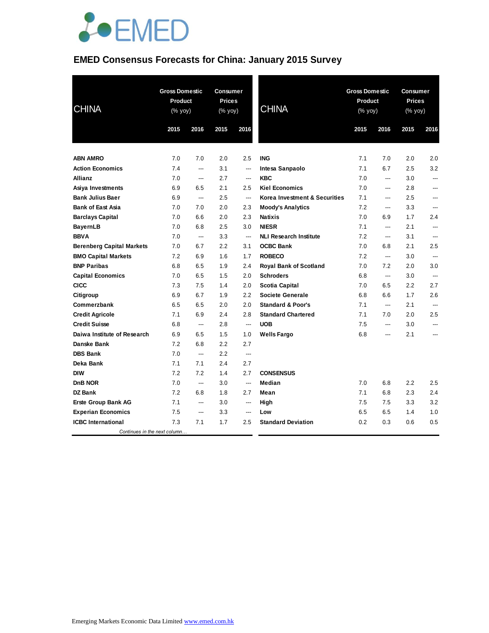

# **EMED Consensus Forecasts for China: January 2015 Survey**

| <b>CHINA</b>                     | <b>Gross Domestic</b><br>Product<br>(% yoy) |                                   | <b>Consumer</b><br><b>Prices</b><br>(% yoy) |                          | <b>CHINA</b>                  | <b>Gross Domestic</b><br><b>Product</b><br>(% yoy) |                          | Consumer<br><b>Prices</b><br>(% yoy) |      |
|----------------------------------|---------------------------------------------|-----------------------------------|---------------------------------------------|--------------------------|-------------------------------|----------------------------------------------------|--------------------------|--------------------------------------|------|
|                                  | 2015                                        | 2016                              | 2015                                        | 2016                     |                               | 2015                                               | 2016                     | 2015                                 | 2016 |
| <b>ABN AMRO</b>                  | 7.0                                         | 7.0                               | 2.0                                         | 2.5                      | <b>ING</b>                    | 7.1                                                | 7.0                      | 2.0                                  | 2.0  |
| <b>Action Economics</b>          | 7.4                                         | $\overline{a}$                    | 3.1                                         | ---                      | Intesa Sanpaolo               | 7.1                                                | 6.7                      | 2.5                                  | 3.2  |
| Allianz                          | 7.0                                         | $\overline{a}$                    | 2.7                                         | ---                      | <b>KBC</b>                    | 7.0                                                | ---                      | 3.0                                  | ---  |
| Asiya Investments                | 6.9                                         | 6.5                               | 2.1                                         | 2.5                      | <b>Kiel Economics</b>         | 7.0                                                | ---                      | 2.8                                  |      |
| <b>Bank Julius Baer</b>          | 6.9                                         | ---                               | 2.5                                         | ---                      | Korea Investment & Securities | 7.1                                                | ---                      | 2.5                                  | ---  |
| <b>Bank of East Asia</b>         | 7.0                                         | 7.0                               | 2.0                                         | 2.3                      | <b>Moody's Analytics</b>      | 7.2                                                | ---                      | 3.3                                  |      |
| <b>Barclays Capital</b>          | 7.0                                         | 6.6                               | 2.0                                         | 2.3                      | <b>Natixis</b>                | 7.0                                                | 6.9                      | 1.7                                  | 2.4  |
| <b>BayernLB</b>                  | 7.0                                         | 6.8                               | 2.5                                         | 3.0                      | <b>NIESR</b>                  | 7.1                                                | ---                      | 2.1                                  | ---  |
| <b>BBVA</b>                      | 7.0                                         | $\overline{\phantom{a}}$          | 3.3                                         | $\hspace{0.05cm} \ldots$ | <b>NLI Research Institute</b> | 7.2                                                | ---                      | 3.1                                  | ---  |
| <b>Berenberg Capital Markets</b> | 7.0                                         | 6.7                               | 2.2                                         | 3.1                      | <b>OCBC Bank</b>              | 7.0                                                | 6.8                      | 2.1                                  | 2.5  |
| <b>BMO Capital Markets</b>       | 7.2                                         | 6.9                               | 1.6                                         | 1.7                      | <b>ROBECO</b>                 | 7.2                                                | $\overline{\phantom{a}}$ | 3.0                                  | ---  |
| <b>BNP Paribas</b>               | 6.8                                         | 6.5                               | 1.9                                         | 2.4                      | <b>Royal Bank of Scotland</b> | 7.0                                                | 7.2                      | 2.0                                  | 3.0  |
| <b>Capital Economics</b>         | 7.0                                         | 6.5                               | 1.5                                         | 2.0                      | <b>Schroders</b>              | 6.8                                                | $\hspace{0.05cm} \ldots$ | 3.0                                  | ---  |
| <b>CICC</b>                      | 7.3                                         | 7.5                               | 1.4                                         | 2.0                      | <b>Scotia Capital</b>         | 7.0                                                | 6.5                      | 2.2                                  | 2.7  |
| Citigroup                        | 6.9                                         | 6.7                               | 1.9                                         | 2.2                      | Societe Generale              | 6.8                                                | 6.6                      | 1.7                                  | 2.6  |
| Commerzbank                      | 6.5                                         | 6.5                               | 2.0                                         | 2.0                      | <b>Standard &amp; Poor's</b>  | 7.1                                                | $\overline{\phantom{a}}$ | 2.1                                  | ---  |
| <b>Credit Agricole</b>           | 7.1                                         | 6.9                               | 2.4                                         | 2.8                      | <b>Standard Chartered</b>     | 7.1                                                | 7.0                      | 2.0                                  | 2.5  |
| <b>Credit Suisse</b>             | 6.8                                         | $\hspace{0.05cm} \dashrightarrow$ | 2.8                                         | ---                      | <b>UOB</b>                    | 7.5                                                | ---                      | 3.0                                  | ---  |
| Daiwa Institute of Research      | 6.9                                         | 6.5                               | 1.5                                         | 1.0                      | <b>Wells Fargo</b>            | 6.8                                                | ---                      | 2.1                                  | ---  |
| Danske Bank                      | 7.2                                         | 6.8                               | 2.2                                         | 2.7                      |                               |                                                    |                          |                                      |      |
| <b>DBS Bank</b>                  | 7.0                                         | ---                               | 2.2                                         | ---                      |                               |                                                    |                          |                                      |      |
| Deka Bank                        | 7.1                                         | 7.1                               | 2.4                                         | 2.7                      |                               |                                                    |                          |                                      |      |
| <b>DIW</b>                       | 7.2                                         | 7.2                               | 1.4                                         | 2.7                      | <b>CONSENSUS</b>              |                                                    |                          |                                      |      |
| DnB NOR                          | 7.0                                         | $\overline{\phantom{a}}$          | 3.0                                         | ---                      | Median                        | 7.0                                                | 6.8                      | 2.2                                  | 2.5  |
| <b>DZ Bank</b>                   | 7.2                                         | 6.8                               | 1.8                                         | 2.7                      | Mean                          | 7.1                                                | 6.8                      | 2.3                                  | 2.4  |
| <b>Erste Group Bank AG</b>       | 7.1                                         | $\overline{\phantom{a}}$          | 3.0                                         | ---                      | High                          | 7.5                                                | 7.5                      | 3.3                                  | 3.2  |
| <b>Experian Economics</b>        | 7.5                                         | $---$                             | 3.3                                         | ---                      | Low                           | 6.5                                                | 6.5                      | 1.4                                  | 1.0  |
| <b>ICBC</b> International        | 7.3                                         | 7.1                               | 1.7                                         | 2.5                      | <b>Standard Deviation</b>     | 0.2                                                | 0.3                      | 0.6                                  | 0.5  |
| Continues in the next column     |                                             |                                   |                                             |                          |                               |                                                    |                          |                                      |      |